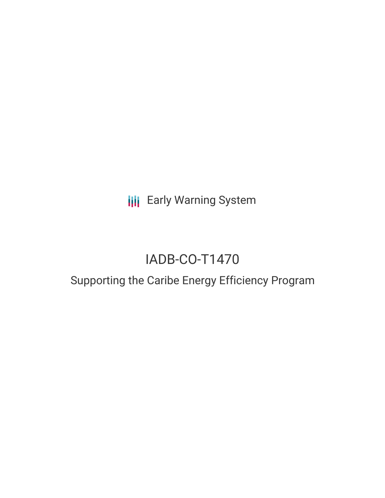**III** Early Warning System

# IADB-CO-T1470

## Supporting the Caribe Energy Efficiency Program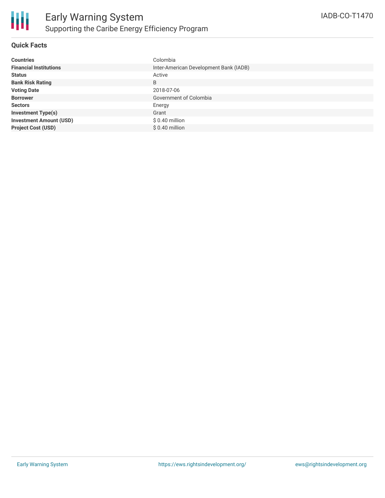

#### **Quick Facts**

| <b>Countries</b>               | Colombia                               |
|--------------------------------|----------------------------------------|
| <b>Financial Institutions</b>  | Inter-American Development Bank (IADB) |
| <b>Status</b>                  | Active                                 |
| <b>Bank Risk Rating</b>        | B                                      |
| <b>Voting Date</b>             | 2018-07-06                             |
| <b>Borrower</b>                | Government of Colombia                 |
| <b>Sectors</b>                 | Energy                                 |
| <b>Investment Type(s)</b>      | Grant                                  |
| <b>Investment Amount (USD)</b> | $$0.40$ million                        |
| <b>Project Cost (USD)</b>      | $$0.40$ million                        |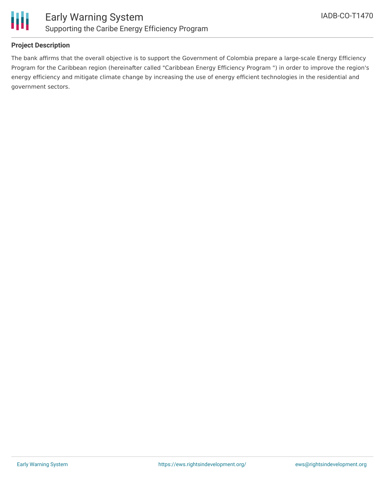

#### **Project Description**

The bank affirms that the overall objective is to support the Government of Colombia prepare a large-scale Energy Efficiency Program for the Caribbean region (hereinafter called "Caribbean Energy Efficiency Program ") in order to improve the region's energy efficiency and mitigate climate change by increasing the use of energy efficient technologies in the residential and government sectors.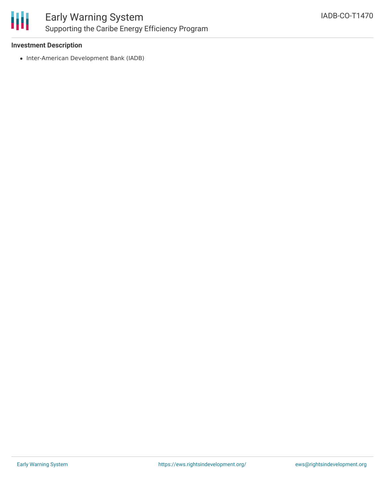

#### **Investment Description**

• Inter-American Development Bank (IADB)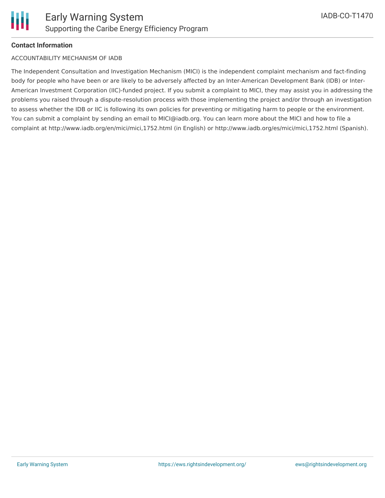

#### **Contact Information**

#### ACCOUNTABILITY MECHANISM OF IADB

The Independent Consultation and Investigation Mechanism (MICI) is the independent complaint mechanism and fact-finding body for people who have been or are likely to be adversely affected by an Inter-American Development Bank (IDB) or Inter-American Investment Corporation (IIC)-funded project. If you submit a complaint to MICI, they may assist you in addressing the problems you raised through a dispute-resolution process with those implementing the project and/or through an investigation to assess whether the IDB or IIC is following its own policies for preventing or mitigating harm to people or the environment. You can submit a complaint by sending an email to MICI@iadb.org. You can learn more about the MICI and how to file a complaint at http://www.iadb.org/en/mici/mici,1752.html (in English) or http://www.iadb.org/es/mici/mici,1752.html (Spanish).